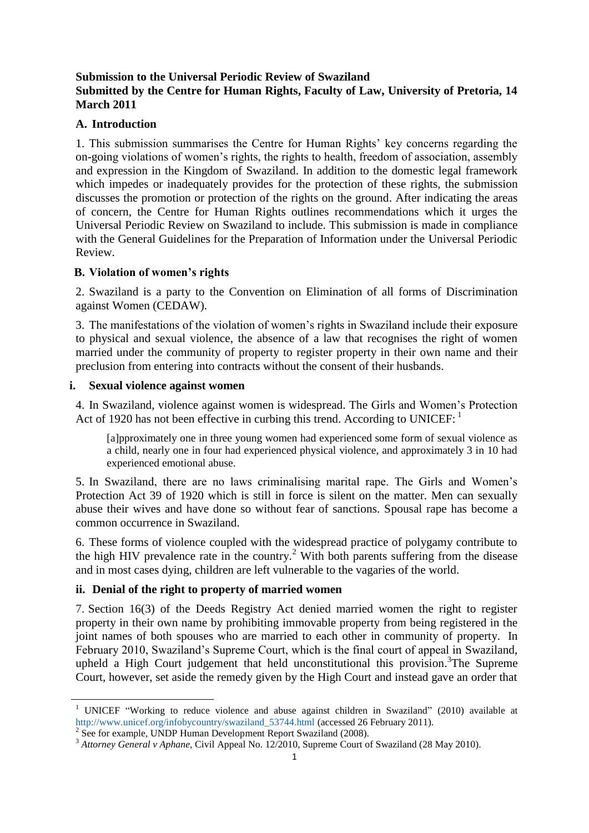# **Submission to the Universal Periodic Review of Swaziland Submitted by the Centre for Human Rights, Faculty of Law, University of Pretoria, 14 March 2011**

## **A. Introduction**

1. This submission summarises the Centre for Human Rights" key concerns regarding the on-going violations of women"s rights, the rights to health, freedom of association, assembly and expression in the Kingdom of Swaziland. In addition to the domestic legal framework which impedes or inadequately provides for the protection of these rights, the submission discusses the promotion or protection of the rights on the ground. After indicating the areas of concern, the Centre for Human Rights outlines recommendations which it urges the Universal Periodic Review on Swaziland to include. This submission is made in compliance with the General Guidelines for the Preparation of Information under the Universal Periodic Review.

## **B. Violation of women's rights**

2. Swaziland is a party to the Convention on Elimination of all forms of Discrimination against Women (CEDAW).

3. The manifestations of the violation of women"s rights in Swaziland include their exposure to physical and sexual violence, the absence of a law that recognises the right of women married under the community of property to register property in their own name and their preclusion from entering into contracts without the consent of their husbands.

## **i. Sexual violence against women**

**.** 

4. In Swaziland, violence against women is widespread. The Girls and Women"s Protection Act of 1920 has not been effective in curbing this trend. According to UNICEF:  $<sup>1</sup>$ </sup>

[a]pproximately one in three young women had experienced some form of sexual violence as a child, nearly one in four had experienced physical violence, and approximately 3 in 10 had experienced emotional abuse.

5. In Swaziland, there are no laws criminalising marital rape. The Girls and Women"s Protection Act 39 of 1920 which is still in force is silent on the matter. Men can sexually abuse their wives and have done so without fear of sanctions. Spousal rape has become a common occurrence in Swaziland.

6. These forms of violence coupled with the widespread practice of polygamy contribute to the high HIV prevalence rate in the country.<sup>2</sup> With both parents suffering from the disease and in most cases dying, children are left vulnerable to the vagaries of the world.

# **ii. Denial of the right to property of married women**

7. Section 16(3) of the Deeds Registry Act denied married women the right to register property in their own name by prohibiting immovable property from being registered in the joint names of both spouses who are married to each other in community of property. In February 2010, Swaziland's Supreme Court, which is the final court of appeal in Swaziland, upheld a High Court judgement that held unconstitutional this provision.<sup>3</sup>The Supreme Court, however, set aside the remedy given by the High Court and instead gave an order that

<sup>&</sup>lt;sup>1</sup> UNICEF "Working to reduce violence and abuse against children in Swaziland" (2010) available at [http://www.unicef.org/infobycountry/swaziland\\_53744.html](http://www.unicef.org/infobycountry/swaziland_53744.html) (accessed 26 February 2011).

 $2^{2}$  See for example, UNDP Human Development Report Swaziland (2008).

<sup>&</sup>lt;sup>3</sup> Attorney General v Aphane, Civil Appeal No. 12/2010, Supreme Court of Swaziland (28 May 2010).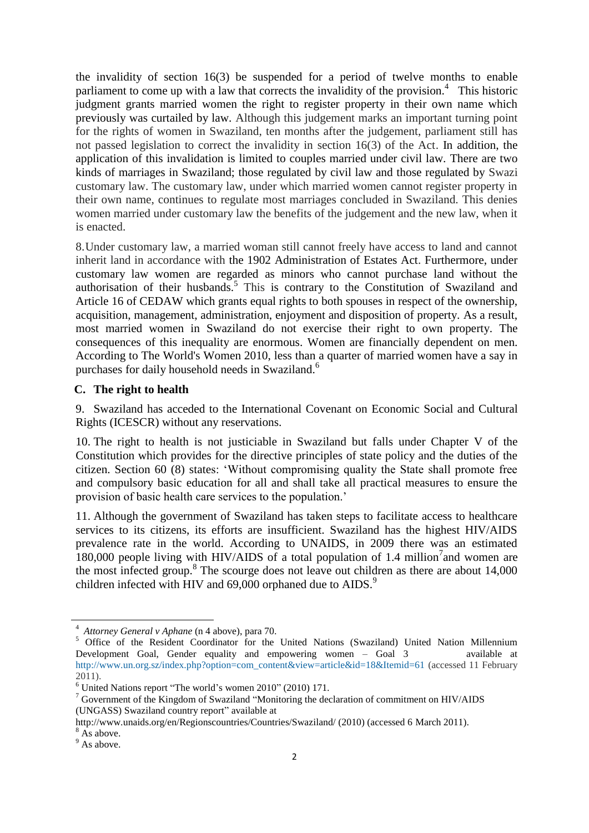the invalidity of section 16(3) be suspended for a period of twelve months to enable parliament to come up with a law that corrects the invalidity of the provision.<sup>4</sup> This historic judgment grants married women the right to register property in their own name which previously was curtailed by law. Although this judgement marks an important turning point for the rights of women in Swaziland, ten months after the judgement, parliament still has not passed legislation to correct the invalidity in section 16(3) of the Act. In addition, the application of this invalidation is limited to couples married under civil law. There are two kinds of marriages in Swaziland; those regulated by civil law and those regulated by Swazi customary law. The customary law, under which married women cannot register property in their own name, continues to regulate most marriages concluded in Swaziland. This denies women married under customary law the benefits of the judgement and the new law, when it is enacted.

8.Under customary law, a married woman still cannot freely have access to land and cannot inherit land in accordance with the 1902 Administration of Estates Act. Furthermore, under customary law women are regarded as minors who cannot purchase land without the authorisation of their husbands.<sup>5</sup> This is contrary to the Constitution of Swaziland and Article 16 of CEDAW which grants equal rights to both spouses in respect of the ownership, acquisition, management, administration, enjoyment and disposition of property. As a result, most married women in Swaziland do not exercise their right to own property. The consequences of this inequality are enormous. Women are financially dependent on men. According to The World's Women 2010, less than a quarter of married women have a say in purchases for daily household needs in Swaziland.<sup>6</sup>

#### **C. The right to health**

9. Swaziland has acceded to the International Covenant on Economic Social and Cultural Rights (ICESCR) without any reservations.

10. The right to health is not justiciable in Swaziland but falls under Chapter V of the Constitution which provides for the directive principles of state policy and the duties of the citizen. Section 60 (8) states: "Without compromising quality the State shall promote free and compulsory basic education for all and shall take all practical measures to ensure the provision of basic health care services to the population."

11. Although the government of Swaziland has taken steps to facilitate access to healthcare services to its citizens, its efforts are insufficient. Swaziland has the highest HIV/AIDS prevalence rate in the world. According to UNAIDS, in 2009 there was an estimated 180,000 people living with HIV/AIDS of a total population of 1.4 million<sup>7</sup> and women are the most infected group.<sup>8</sup> The scourge does not leave out children as there are about  $14,000$ children infected with HIV and 69,000 orphaned due to AIDS.<sup>9</sup>

1

<sup>4</sup>  *Attorney General v Aphane* (n 4 above), para 70.

<sup>&</sup>lt;sup>5</sup> Office of the Resident Coordinator for the United Nations (Swaziland) United Nation Millennium Development Goal, Gender equality and empowering women – Goal 3 available at [http://www.un.org.sz/index.php?option=com\\_content&view=article&id=18&Itemid=61](http://www.un.org.sz/index.php?option=com_content&view=article&id=18&Itemid=61) (accessed 11 February  $2011$ ).

<sup>6</sup> United Nations report "The world"s women 2010" (2010) 171.

<sup>7</sup> Government of the Kingdom of Swaziland ["Monitoring the declaration of commitment on HIV/AIDS](http://www.unaids.org/en/CountryResponses/Countries/swaziland.asp)  [\(UNGASS\) Swaziland country report"](http://www.unaids.org/en/CountryResponses/Countries/swaziland.asp) available at

http://www.unaids.org/en/Regionscountries/Countries/Swaziland/ (2010) (accessed 6 March 2011).

<sup>&</sup>lt;sup>8</sup> As above.

 $9$  As above.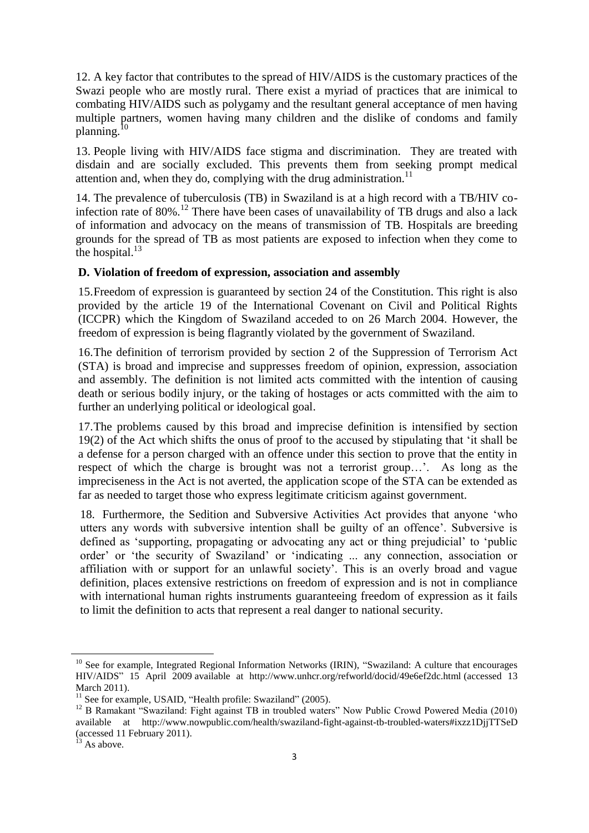12. A key factor that contributes to the spread of HIV/AIDS is the customary practices of the Swazi people who are mostly rural. There exist a myriad of practices that are inimical to combating HIV/AIDS such as polygamy and the resultant general acceptance of men having multiple partners, women having many children and the dislike of condoms and family planning.<sup>10</sup>

13. People living with HIV/AIDS face stigma and discrimination. They are treated with disdain and are socially excluded. This prevents them from seeking prompt medical attention and, when they do, complying with the drug administration.<sup>11</sup>

14. The prevalence of tuberculosis (TB) in Swaziland is at a high record with a TB/HIV coinfection rate of 80%.<sup>12</sup> There have been cases of unavailability of TB drugs and also a lack of information and advocacy on the means of transmission of TB. Hospitals are breeding grounds for the spread of TB as most patients are exposed to infection when they come to the hospital. $^{13}$ 

#### **D. Violation of freedom of expression, association and assembly**

15.Freedom of expression is guaranteed by section 24 of the Constitution. This right is also provided by the article 19 of the International Covenant on Civil and Political Rights (ICCPR) which the Kingdom of Swaziland acceded to on 26 March 2004. However, the freedom of expression is being flagrantly violated by the government of Swaziland.

16.The definition of terrorism provided by section 2 of the Suppression of Terrorism Act (STA) is broad and imprecise and suppresses freedom of opinion, expression, association and assembly. The definition is not limited acts committed with the intention of causing death or serious bodily injury, or the taking of hostages or acts committed with the aim to further an underlying political or ideological goal.

17.The problems caused by this broad and imprecise definition is intensified by section 19(2) of the Act which shifts the onus of proof to the accused by stipulating that "it shall be a defense for a person charged with an offence under this section to prove that the entity in respect of which the charge is brought was not a terrorist group...'. As long as the impreciseness in the Act is not averted, the application scope of the STA can be extended as far as needed to target those who express legitimate criticism against government.

18. Furthermore, the Sedition and Subversive Activities Act provides that anyone "who utters any words with subversive intention shall be guilty of an offence". Subversive is defined as "supporting, propagating or advocating any act or thing prejudicial" to "public order' or 'the security of Swaziland' or 'indicating ... any connection, association or affiliation with or support for an unlawful society". This is an overly broad and vague definition, places extensive restrictions on freedom of expression and is not in compliance with international human rights instruments guaranteeing freedom of expression as it fails to limit the definition to acts that represent a real danger to national security.

 $\overline{\phantom{a}}$ 

 $10$  See for example, Integrated Regional Information Networks (IRIN), "Swaziland: A culture that encourages HIV/AIDS" 15 April 2009 available at http://www.unhcr.org/refworld/docid/49e6ef2dc.html (accessed 13 March 2011).

 $11$  See for example, USAID, "Health profile: Swaziland" (2005).

<sup>&</sup>lt;sup>12</sup> B Ramakant "Swaziland: Fight against TB in troubled waters" Now Public Crowd Powered Media (2010) available at <http://www.nowpublic.com/health/swaziland-fight-against-tb-troubled-waters#ixzz1DjjTTSeD> (accessed 11 February 2011).

 $^{13}$  As above.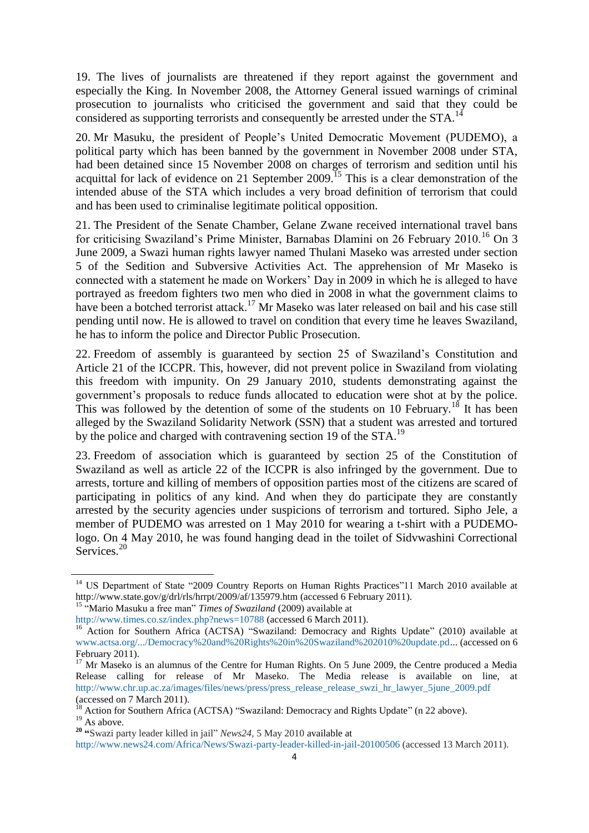19. The lives of journalists are threatened if they report against the government and especially the King. In November 2008, the Attorney General issued warnings of criminal prosecution to journalists who criticised the government and said that they could be considered as supporting terrorists and consequently be arrested under the STA.<sup>14</sup>

20. Mr Masuku, the president of People"s United Democratic Movement (PUDEMO), a political party which has been banned by the government in November 2008 under STA, had been detained since 15 November 2008 on charges of terrorism and sedition until his acquittal for lack of evidence on 21 September 2009.<sup>15</sup> This is a clear demonstration of the intended abuse of the STA which includes a very broad definition of terrorism that could and has been used to criminalise legitimate political opposition.

21. The President of the Senate Chamber, Gelane Zwane received international travel bans for criticising Swaziland's Prime Minister, Barnabas Dlamini on 26 February 2010.<sup>16</sup> On 3 June 2009, a Swazi human rights lawyer named Thulani Maseko was arrested under section 5 of the Sedition and Subversive Activities Act. The apprehension of Mr Maseko is connected with a statement he made on Workers" Day in 2009 in which he is alleged to have portrayed as freedom fighters two men who died in 2008 in what the government claims to have been a botched terrorist attack.<sup>17</sup> Mr Maseko was later released on bail and his case still pending until now. He is allowed to travel on condition that every time he leaves Swaziland, he has to inform the police and Director Public Prosecution.

22. Freedom of assembly is guaranteed by section 25 of Swaziland"s Constitution and Article 21 of the ICCPR. This, however, did not prevent police in Swaziland from violating this freedom with impunity. On 29 January 2010, students demonstrating against the government"s proposals to reduce funds allocated to education were shot at by the police. This was followed by the detention of some of the students on 10 February.<sup>18</sup> It has been alleged by the Swaziland Solidarity Network (SSN) that a student was arrested and tortured by the police and charged with contravening section 19 of the STA.<sup>19</sup>

23. Freedom of association which is guaranteed by section 25 of the Constitution of Swaziland as well as article 22 of the ICCPR is also infringed by the government. Due to arrests, torture and killing of members of opposition parties most of the citizens are scared of participating in politics of any kind. And when they do participate they are constantly arrested by the security agencies under suspicions of terrorism and tortured. Sipho Jele, a member of PUDEMO was arrested on 1 May 2010 for wearing a t-shirt with a PUDEMOlogo. On 4 May 2010, he was found hanging dead in the toilet of Sidvwashini Correctional Services.<sup>20</sup>

<sup>15</sup> "Mario Masuku a free man" *Times of Swaziland* (2009) available at

**.** 

<sup>&</sup>lt;sup>14</sup> US Department of State ["2009 Country Reports on Human Rights Practices"](http://www.state.gov/g/drl/rls/hrrpt/2009/index.htm)11 March 2010 available at <http://www.state.gov/g/drl/rls/hrrpt/2009/af/135979.htm> (accessed 6 February 2011).

<http://www.times.co.sz/index.php?news=10788> (accessed 6 March 2011).

<sup>&</sup>lt;sup>16</sup> Action for Southern Africa (ACTSA) "Swaziland: Democracy and Rights Update" (2010) available at [www.actsa.org/.../Democracy%20and%20Rights%20in%20Swaziland%202010%20update.pd.](http://www.actsa.org/.../Democracy%20and%20Rights%20in%20Swaziland%202010%20update.pd).. (accessed on 6 February 2011).

<sup>&</sup>lt;sup>17</sup> Mr Maseko is an alumnus of the Centre for Human Rights. On 5 June 2009, the Centre produced a Media Release calling for release of Mr Maseko. The Media release is available on line, at [http://www.chr.up.ac.za/images/files/news/press/press\\_release\\_release\\_swzi\\_hr\\_lawyer\\_5june\\_2009.pdf](http://www.chr.up.ac.za/images/files/news/press/press_release_release_swzi_hr_lawyer_5june_2009.pdf) (accessed on 7 March 2011).

<sup>18</sup> Action for Southern Africa (ACTSA) "Swaziland: Democracy and Rights Update" (n 22 above).

 $19$  As above.

**<sup>20</sup> "**Swazi party leader killed in jail" *News24,* 5 May 2010 available at

<http://www.news24.com/Africa/News/Swazi-party-leader-killed-in-jail-20100506> (accessed 13 March 2011).